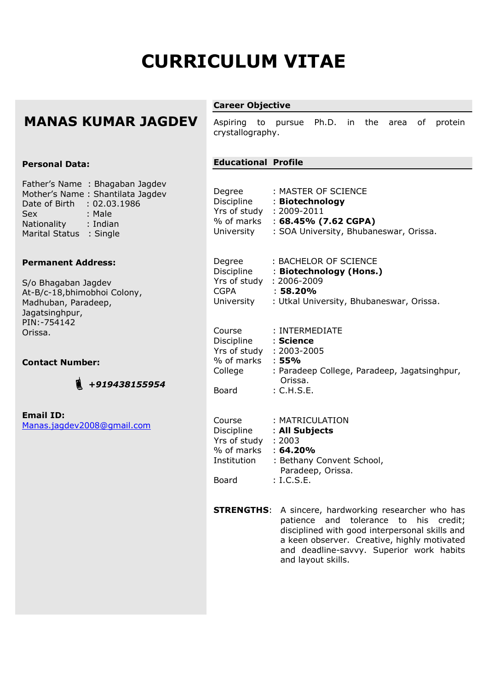# **CURRICULUM VITAE**

# **MANAS KUMAR JAGDEV**

#### **Personal Data:**

Father's Name : Bhagaban Jagdev Mother's Name : Shantilata Jagdev Date of Birth : 02.03.1986 Sex : Male Nationality : Indian Marital Status : Single

#### **Permanent Address:**

S/o Bhagaban Jagdev At-B/c-18,bhimobhoi Colony, Madhuban, Paradeep, Jagatsinghpur, PIN:-754142 Orissa.

#### **Contact Number:**



**Email ID:** Manas.jagdev2008@gmail.com

### **Career Objective**

Aspiring to pursue Ph.D. in the area of protein crystallography.

## **Educational Profile**

| Degree<br>Yrs of study : 2009-2011<br>University                                                   | : MASTER OF SCIENCE<br>Discipline : Biotechnology<br>% of marks : 68.45% (7.62 CGPA)<br>: SOA University, Bhubaneswar, Orissa.    |
|----------------------------------------------------------------------------------------------------|-----------------------------------------------------------------------------------------------------------------------------------|
| Degree<br>Yrs of study : 2006-2009<br><b>CGPA</b>                                                  | : BACHELOR OF SCIENCE<br>Discipline : Biotechnology (Hons.)<br>$: 58.20\%$<br>University : Utkal University, Bhubaneswar, Orissa. |
| Course<br>Discipline : Science<br>Yrs of study : 2003-2005<br>% of marks : 55%<br>College<br>Board | : INTERMEDIATE<br>: Paradeep College, Paradeep, Jagatsinghpur,<br>Orissa.<br>: C.H.S.E.                                           |
| Course<br>$Yrs$ of study : 2003<br>% of marks : 64.20%<br>Board                                    | : MATRICULATION<br>Discipline : All Subjects<br>Institution : Bethany Convent School,<br>Paradeep, Orissa.<br>: I.C.S.E.          |

**STRENGTHS:** A sincere, hardworking researcher who has patience and tolerance to his credit; disciplined with good interpersonal skills and a keen observer. Creative, highly motivated and deadline-savvy. Superior work habits and layout skills.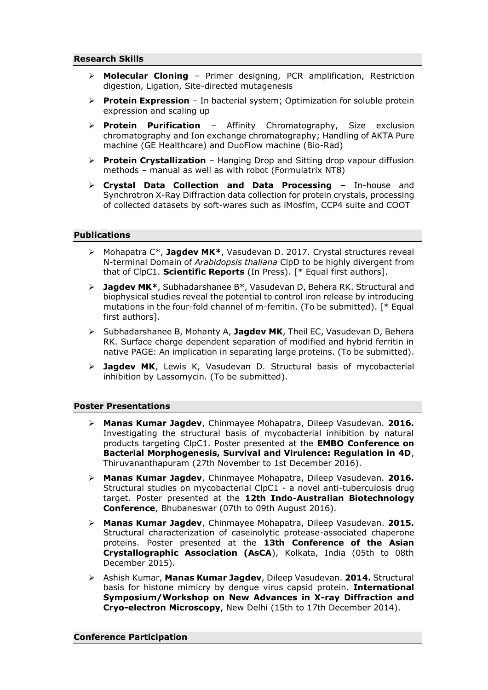- ➢ **Molecular Cloning** Primer designing, PCR amplification, Restriction digestion, Ligation, Site-directed mutagenesis
- **Protein Expression** In bacterial system; Optimization for soluble protein expression and scaling up
- ➢ **Protein Purification** Affinity Chromatography, Size exclusion chromatography and Ion exchange chromatography; Handling of AKTA Pure machine (GE Healthcare) and DuoFlow machine (Bio-Rad)
- ➢ **Protein Crystallization** Hanging Drop and Sitting drop vapour diffusion methods – manual as well as with robot (Formulatrix NT8)
- ➢ **Crystal Data Collection and Data Processing –** In-house and Synchrotron X-Ray Diffraction data collection for protein crystals, processing of collected datasets by soft-wares such as iMosflm, CCP4 suite and COOT

#### **Publications**

- ➢ Mohapatra C\*, **Jagdev MK\***, Vasudevan D. 2017. Crystal structures reveal N-terminal Domain of *Arabidopsis thaliana* ClpD to be highly divergent from that of ClpC1. **Scientific Reports** (In Press). [\* Equal first authors].
- ➢ **Jagdev MK\***, Subhadarshanee B\*, Vasudevan D, Behera RK. Structural and biophysical studies reveal the potential to control iron release by introducing mutations in the four-fold channel of m-ferritin. (To be submitted). [\* Equal first authors].
- ➢ Subhadarshanee B, Mohanty A, **Jagdev MK**, Theil EC, Vasudevan D, Behera RK. Surface charge dependent separation of modified and hybrid ferritin in native PAGE: An implication in separating large proteins. (To be submitted).
- ➢ **Jagdev MK**, Lewis K, Vasudevan D. Structural basis of mycobacterial inhibition by Lassomycin. (To be submitted).

#### **Poster Presentations**

- ➢ **Manas Kumar Jagdev**, Chinmayee Mohapatra, Dileep Vasudevan. **2016.** Investigating the structural basis of mycobacterial inhibition by natural products targeting ClpC1. Poster presented at the **EMBO Conference on Bacterial Morphogenesis, Survival and Virulence: Regulation in 4D**, Thiruvananthapuram (27th November to 1st December 2016).
- ➢ **Manas Kumar Jagdev**, Chinmayee Mohapatra, Dileep Vasudevan. **2016.**  Structural studies on mycobacterial ClpC1 - a novel anti-tuberculosis drug target. Poster presented at the **12th Indo-Australian Biotechnology Conference**, Bhubaneswar (07th to 09th August 2016).
- ➢ **Manas Kumar Jagdev**, Chinmayee Mohapatra, Dileep Vasudevan. **2015.** Structural characterization of caseinolytic protease-associated chaperone proteins. Poster presented at the **13th Conference of the Asian Crystallographic Association (AsCA**), Kolkata, India (05th to 08th December 2015).
- ➢ Ashish Kumar, **Manas Kumar Jagdev**, Dileep Vasudevan. **2014.** Structural basis for histone mimicry by dengue virus capsid protein. **International Symposium/Workshop on New Advances in X-ray Diffraction and Cryo-electron Microscopy**, New Delhi (15th to 17th December 2014).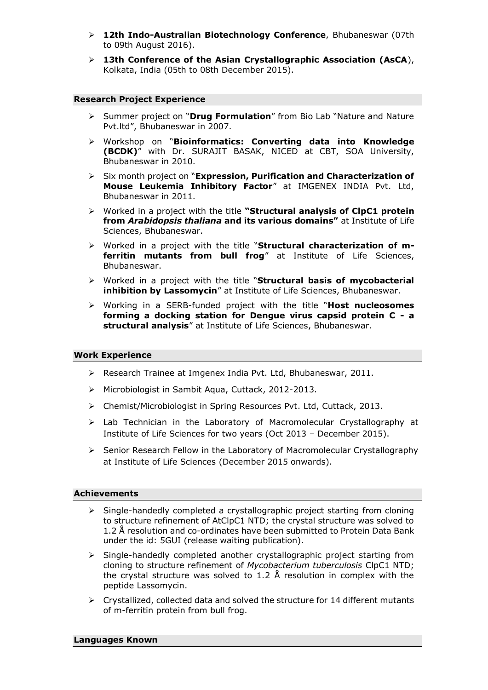- ➢ **12th Indo-Australian Biotechnology Conference**, Bhubaneswar (07th to 09th August 2016).
- ➢ **13th Conference of the Asian Crystallographic Association (AsCA**), Kolkata, India (05th to 08th December 2015).

#### **Research Project Experience**

- ➢ Summer project on "**Drug Formulation**" from Bio Lab "Nature and Nature Pvt.ltd", Bhubaneswar in 2007.
- ➢ Workshop on "**Bioinformatics: Converting data into Knowledge (BCDK)**" with Dr. SURAJIT BASAK, NICED at CBT, SOA University, Bhubaneswar in 2010.
- ➢ Six month project on "**Expression, Purification and Characterization of Mouse Leukemia Inhibitory Factor**" at IMGENEX INDIA Pvt. Ltd, Bhubaneswar in 2011.
- ➢ Worked in a project with the title **"Structural analysis of ClpC1 protein from** *Arabidopsis thaliana* **and its various domains"** at Institute of Life Sciences, Bhubaneswar.
- ➢ Worked in a project with the title "**Structural characterization of mferritin mutants from bull frog**" at Institute of Life Sciences, Bhubaneswar.
- ➢ Worked in a project with the title "**Structural basis of mycobacterial inhibition by Lassomycin**" at Institute of Life Sciences, Bhubaneswar.
- ➢ Working in a SERB-funded project with the title "**Host nucleosomes forming a docking station for Dengue virus capsid protein C - a structural analysis**" at Institute of Life Sciences, Bhubaneswar.

#### **Work Experience**

- ➢ Research Trainee at Imgenex India Pvt. Ltd, Bhubaneswar, 2011.
- ➢ Microbiologist in Sambit Aqua, Cuttack, 2012-2013.
- ➢ Chemist/Microbiologist in Spring Resources Pvt. Ltd, Cuttack, 2013.
- ➢ Lab Technician in the Laboratory of Macromolecular Crystallography at Institute of Life Sciences for two years (Oct 2013 – December 2015).
- ➢ Senior Research Fellow in the Laboratory of Macromolecular Crystallography at Institute of Life Sciences (December 2015 onwards).

#### **Achievements**

- ➢ Single-handedly completed a crystallographic project starting from cloning to structure refinement of AtClpC1 NTD; the crystal structure was solved to 1.2 Å resolution and co-ordinates have been submitted to Protein Data Bank under the id: 5GUI (release waiting publication).
- ➢ Single-handedly completed another crystallographic project starting from cloning to structure refinement of *Mycobacterium tuberculosis* ClpC1 NTD; the crystal structure was solved to 1.2 Å resolution in complex with the peptide Lassomycin.
- $\triangleright$  Crystallized, collected data and solved the structure for 14 different mutants of m-ferritin protein from bull frog.